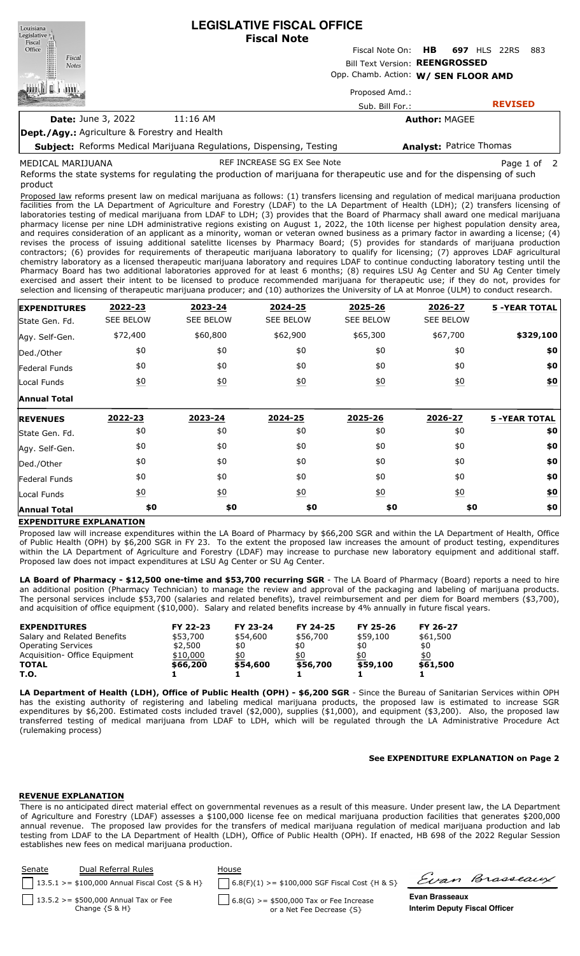| Louisiana<br>Legislative                                                   |            | <b>LEGISLATIVE FISCAL OFFICE</b><br><b>Fiscal Note</b>                 |                                |
|----------------------------------------------------------------------------|------------|------------------------------------------------------------------------|--------------------------------|
| Fiscal<br>Office<br>Fiscal                                                 |            | Fiscal Note On: <b>HB</b>                                              | <b>697 HLS 22RS</b><br>-883    |
| <b>Notes</b>                                                               |            | Bill Text Version: REENGROSSED<br>Opp. Chamb. Action: W/ SEN FLOOR AMD |                                |
|                                                                            |            | Proposed Amd.:                                                         |                                |
|                                                                            |            | Sub. Bill For.:                                                        | <b>REVISED</b>                 |
| <b>Date: June 3, 2022</b>                                                  | $11:16$ AM |                                                                        | <b>Author: MAGEE</b>           |
| <b>Dept./Agy.: Agriculture &amp; Forestry and Health</b>                   |            |                                                                        |                                |
| <b>Subject:</b> Reforms Medical Marijuana Regulations, Dispensing, Testing |            |                                                                        | <b>Analyst: Patrice Thomas</b> |

MEDICAL MARIJUANA

REF INCREASE SG EX See Note **Page 1** of 2

Reforms the state systems for regulating the production of marijuana for therapeutic use and for the dispensing of such product

Proposed law reforms present law on medical marijuana as follows: (1) transfers licensing and regulation of medical marijuana production facilities from the LA Department of Agriculture and Forestry (LDAF) to the LA Department of Health (LDH); (2) transfers licensing of laboratories testing of medical marijuana from LDAF to LDH; (3) provides that the Board of Pharmacy shall award one medical marijuana pharmacy license per nine LDH administrative regions existing on August 1, 2022, the 10th license per highest population density area, and requires consideration of an applicant as a minority, woman or veteran owned business as a primary factor in awarding a license; (4) revises the process of issuing additional satelitte licenses by Pharmacy Board; (5) provides for standards of marijuana production contractors; (6) provides for requirements of therapeutic marijuana laboratory to qualify for licensing; (7) approves LDAF agricultural chemistry laboratory as a licensed therapeutic marijuana laboratory and requires LDAF to continue conducting laboratory testing until the Pharmacy Board has two additional laboratories approved for at least 6 months; (8) requires LSU Ag Center and SU Ag Center timely exercised and assert their intent to be licensed to produce recommended marijuana for therapeutic use; if they do not, provides for selection and licensing of therapeutic marijuana producer; and (10) authorizes the University of LA at Monroe (ULM) to conduct research.

| <b>EXPENDITURES</b> | 2022-23          | 2023-24           | 2024-25          | 2025-26          | 2026-27          | <b>5 -YEAR TOTAL</b> |
|---------------------|------------------|-------------------|------------------|------------------|------------------|----------------------|
| State Gen. Fd.      | <b>SEE BELOW</b> | <b>SEE BELOW</b>  | <b>SEE BELOW</b> | <b>SEE BELOW</b> | <b>SEE BELOW</b> |                      |
| Agy. Self-Gen.      | \$72,400         | \$60,800          | \$62,900         | \$65,300         | \$67,700         | \$329,100            |
| Ded./Other          | \$0              | \$0               | \$0              | \$0              | \$0              | \$0                  |
| Federal Funds       | \$0              | \$0               | \$0              | \$0              | \$0              | \$0                  |
| Local Funds         | $\underline{50}$ | $\underline{\$0}$ | $\underline{40}$ | $\underline{50}$ | $\underline{50}$ | \$0                  |
| <b>Annual Total</b> |                  |                   |                  |                  |                  |                      |
| <b>REVENUES</b>     | 2022-23          | 2023-24           | 2024-25          | 2025-26          | 2026-27          | <b>5 -YEAR TOTAL</b> |
| State Gen. Fd.      | \$0              | \$0               | \$0              | \$0              | \$0              | \$0                  |
| Agy. Self-Gen.      | \$0              | \$0               | \$0              | \$0              | \$0              | \$0                  |
| Ded./Other          | \$0              | \$0               | \$0              | \$0              | \$0              | \$0                  |
| Federal Funds       | \$0              | \$0               | \$0              | \$0              | \$0              | \$0                  |
| Local Funds         | $\underline{50}$ | $\underline{\$0}$ | $\underline{40}$ | 60               | $\underline{50}$ | <u>\$0</u>           |
| <b>Annual Total</b> | \$0              | \$0               | \$0              | \$0              | \$0              | \$0                  |

# **EXPENDITURE EXPLANATION**

Proposed law will increase expenditures within the LA Board of Pharmacy by \$66,200 SGR and within the LA Department of Health, Office of Public Health (OPH) by \$6,200 SGR in FY 23. To the extent the proposed law increases the amount of product testing, expenditures within the LA Department of Agriculture and Forestry (LDAF) may increase to purchase new laboratory equipment and additional staff. Proposed law does not impact expenditures at LSU Ag Center or SU Ag Center.

**LA Board of Pharmacy - \$12,500 one-time and \$53,700 recurring SGR** - The LA Board of Pharmacy (Board) reports a need to hire an additional position (Pharmacy Technician) to manage the review and approval of the packaging and labeling of marijuana products. The personal services include \$53,700 (salaries and related benefits), travel reimbursement and per diem for Board members (\$3,700), and acquisition of office equipment (\$10,000). Salary and related benefits increase by 4% annually in future fiscal years.

| <b>EXPENDITURES</b>            | FY 22-23 | FY 23-24 | FY 24-25 | FY 25-26 | FY 26-27 |
|--------------------------------|----------|----------|----------|----------|----------|
| Salary and Related Benefits    | \$53,700 | \$54,600 | \$56,700 | \$59,100 | \$61,500 |
| <b>Operating Services</b>      | \$2,500  | \$0      | \$0      | \$0      | \$0      |
| Acquisition - Office Equipment | \$10,000 | \$0      | \$0      | \$0      | \$0      |
| <b>TOTAL</b>                   | \$66,200 | \$54,600 | \$56,700 | \$59,100 | \$61,500 |
| T.O.                           |          |          |          |          |          |

**LA Department of Health (LDH), Office of Public Health (OPH) - \$6,200 SGR** - Since the Bureau of Sanitarian Services within OPH has the existing authority of registering and labeling medical marijuana products, the proposed law is estimated to increase SGR expenditures by \$6,200. Estimated costs included travel (\$2,000), supplies (\$1,000), and equipment (\$3,200). Also, the proposed law transferred testing of medical marijuana from LDAF to LDH, which will be regulated through the LA Administrative Procedure Act (rulemaking process)

### **See EXPENDITURE EXPLANATION on Page 2**

### **REVENUE EXPLANATION**

There is no anticipated direct material effect on governmental revenues as a result of this measure. Under present law, the LA Department of Agriculture and Forestry (LDAF) assesses a \$100,000 license fee on medical marijuana production facilities that generates \$200,000 annual revenue. The proposed law provides for the transfers of medical marijuana regulation of medical marijuana production and lab testing from LDAF to the LA Department of Health (LDH), Office of Public Health (OPH). If enacted, HB 698 of the 2022 Regular Session establishes new fees on medical marijuana production.

| Senate | Dual Referral Rules                                            | House                                                                          |                                                        |                |
|--------|----------------------------------------------------------------|--------------------------------------------------------------------------------|--------------------------------------------------------|----------------|
|        | 13.5.1 > = $$100,000$ Annual Fiscal Cost {S & H}               | $6.8(F)(1)$ >= \$100,000 SGF Fiscal Cost {H & S}                               |                                                        | Evan Brasseaux |
|        | $13.5.2 > = $500,000$ Annual Tax or Fee<br>Change $\{S \& H\}$ | $\bigcup$ 6.8(G) >= \$500,000 Tax or Fee Increase<br>or a Net Fee Decrease {S} | Evan Brasseaux<br><b>Interim Deputy Fiscal Officer</b> |                |